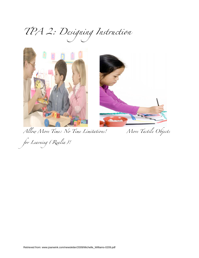*TPA 2: Designing Instruction* 



*Allow More Time: No Time Limitations! More Tactile Objects* 

*for Learning (Realia)!*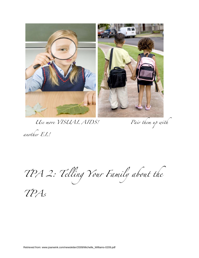

*Use more VISUAL AIDS! Pair them up with* 

*another EL!* 

*TPA 2: Telling Your Family about the* 

*TPAs*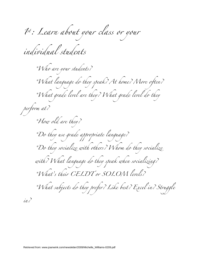*1st: Learn about your class or your* 

*individual students* 

*\*Who are your students? \*What language do they speak? At home? More often? \*What grade level are they? What grade level do they perform at?* 

 *\*How old are they? \*Do they use grade appropriate language? \*Do they socialize with others? Whom do they socialize with? What language do they speak when socializing? \*What's their CELDT or SOLOM levels? \*What subjects do they prefer? Like best? Excel in? Struggle* 

*in?*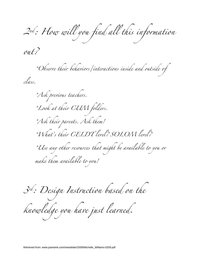*2nd: How will you find all this information* 

*out?* 

*\*Observe their behaviors/interactions inside and outside of* 

*class.* 

 *\*Ask previous teachers. \*Look at their CUM folders. \*Ask their parents. Ask them! \*What's their CELDT level? SOLOM level? \*Use any other resources that might be available to you or make them available to you!* 

*3rd: Design Instruction based on the* 

*knowledge you have just learned.*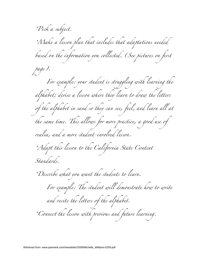*\*Pick a subject. \*Make a lesson plan that includes that adaptations needed based on the information you collected. (See pictures on first page). For example: your student is struggling with learning the alphabet; devise a lesson where they learn to draw the letters of the alphabet in sand so they can see, feel, and learn all at the same time. This allows for more practice, a good use of realia, and a more student-involved lesson. \*Adapt this lesson to the California State Content Standards. \*Describe what you want the students to learn. For example: The student will demonstrate how to write and recite the letters of the alphabet. \*Connect the lesson with previous and future learning.*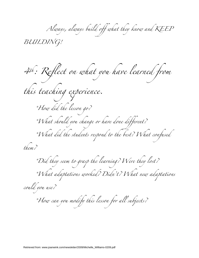*Always, always build off what they know and KEEP* 

*BUILDING!* 

*4th: Reflect on what you have learned from this teaching experience. \*How did the lesson go? \*What should you change or have done different? \*What did the students respond to the best? What confused them? \*Did they seem to grasp the learning? Were they lost? \*What adaptations worked? Didn't? What new adaptations* 

*could you use?* 

 *\*How can you modify this lesson for all subjects?*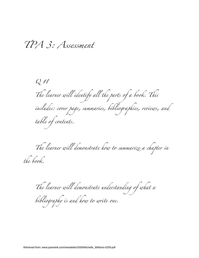*TPA 3: Assessment* 

*Q #1 The learner will identify all the parts of a book. This includes: cover page, summaries, bibliographies, reviews, and table of contents.* 

*The learner will demonstrate how to summarize a chapter in the book.* 

*The learner will demonstrate understanding of what a* 

*bibliography is and how to write one.*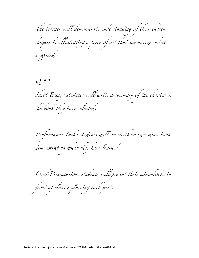*The learner will demonstrate understanding of their chosen chapter by illustrating a piece of art that summarizes what happened.* 

*Q #2 Short Essay: students will write a summary of the chapter in the book they have selected.* 

*Performance Task: students will create their own mini-book demonstrating what they have learned.* 

*Oral Presentation: students will present their mini-books in* 

*front of class explaining each part.*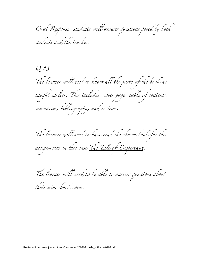*Oral Response: students will answer questions posed by both students and the teacher.* 

*Q #3* 

*The learner will need to know all the parts of the book as taught earlier. This includes: cover page, table of contents, summaries, bibliography, and reviews.* 

*The learner will need to have read the chosen book for the assignment; in this case The Tale of Despereaux.* 

*The learner will need to be able to answer questions about* 

*their mini-book cover.*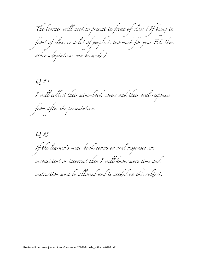*The learner will need to present in front of class (If being in front of class or a lot of people is too much for your EL then other adaptations can be made).* 

*Q #4* 

*I will collect their mini-book covers and their oral responses from after the presentation.* 

*Q #5 If the learner's mini-book covers or oral responses are inconsistent or incorrect then I will know more time and* 

*instruction must be allowed and is needed on this subject.*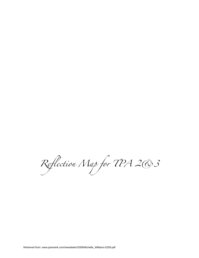*Reflection Map for TPA 2&3*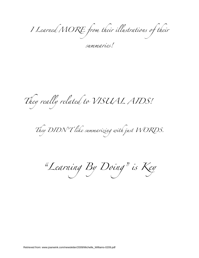*I Learned MORE from their illustrations of their* 

*summaries!* 

*They really related to VISUAL AIDS!* 

*They DIDN'T like summarizing with just WORDS.* 

*"Learning By Doing" is Key*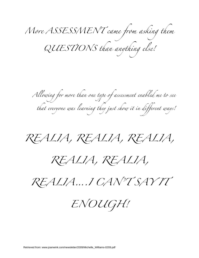*More ASSESSMENT came from asking them QUESTIONS than anything else!* 

*Allowing for more than one type of assessment enabled me to see that everyone was learning they just show it in different ways!* 

*REALIA, REALIA, REALIA,* 

*REALIA, REALIA,* 

*REALIA….I CAN'T SAY IT* 

*ENOUGH!*